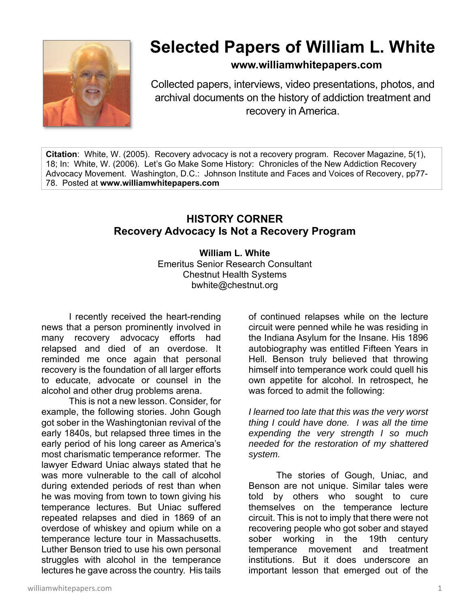

## **Selected Papers of William L. White**

## **www.williamwhitepapers.com**

Collected papers, interviews, video presentations, photos, and archival documents on the history of addiction treatment and recovery in America.

**Citation**: White, W. (2005). Recovery advocacy is not a recovery program. Recover Magazine, 5(1), 18; In: White, W. (2006). Let's Go Make Some History: Chronicles of the New Addiction Recovery Advocacy Movement. Washington, D.C.: Johnson Institute and Faces and Voices of Recovery, pp77- 78. Posted at **www.williamwhitepapers.com** 

## **HISTORY CORNER Recovery Advocacy Is Not a Recovery Program**

## **William L. White**

Emeritus Senior Research Consultant Chestnut Health Systems bwhite@chestnut.org

I recently received the heart-rending news that a person prominently involved in many recovery advocacy efforts had relapsed and died of an overdose. It reminded me once again that personal recovery is the foundation of all larger efforts to educate, advocate or counsel in the alcohol and other drug problems arena.

This is not a new lesson. Consider, for example, the following stories. John Gough got sober in the Washingtonian revival of the early 1840s, but relapsed three times in the early period of his long career as America's most charismatic temperance reformer. The lawyer Edward Uniac always stated that he was more vulnerable to the call of alcohol during extended periods of rest than when he was moving from town to town giving his temperance lectures. But Uniac suffered repeated relapses and died in 1869 of an overdose of whiskey and opium while on a temperance lecture tour in Massachusetts. Luther Benson tried to use his own personal struggles with alcohol in the temperance lectures he gave across the country. His tails

of continued relapses while on the lecture circuit were penned while he was residing in the Indiana Asylum for the Insane. His 1896 autobiography was entitled Fifteen Years in Hell. Benson truly believed that throwing himself into temperance work could quell his own appetite for alcohol. In retrospect, he was forced to admit the following:

*I learned too late that this was the very worst thing I could have done. I was all the time expending the very strength I so much needed for the restoration of my shattered system.* 

The stories of Gough, Uniac, and Benson are not unique. Similar tales were told by others who sought to cure themselves on the temperance lecture circuit. This is not to imply that there were not recovering people who got sober and stayed sober working in the 19th century temperance movement and treatment institutions. But it does underscore an important lesson that emerged out of the